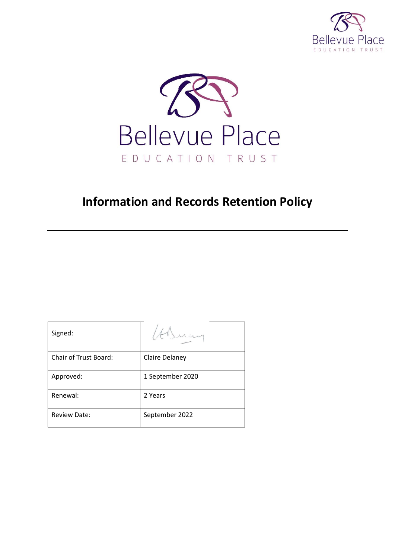



# **Information and Records Retention Policy**

| Signed:                      |                  |
|------------------------------|------------------|
| <b>Chair of Trust Board:</b> | Claire Delaney   |
| Approved:                    | 1 September 2020 |
| Renewal:                     | 2 Years          |
| <b>Review Date:</b>          | September 2022   |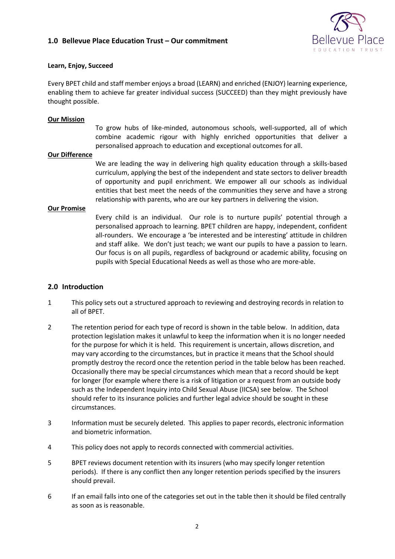# **1.0 Bellevue Place Education Trust – Our commitment**



## **Learn, Enjoy, Succeed**

Every BPET child and staff member enjoys a broad (LEARN) and enriched (ENJOY) learning experience, enabling them to achieve far greater individual success (SUCCEED) than they might previously have thought possible.

### **Our Mission**

To grow hubs of like-minded, autonomous schools, well-supported, all of which combine academic rigour with highly enriched opportunities that deliver a personalised approach to education and exceptional outcomes for all.

#### **Our Difference**

We are leading the way in delivering high quality education through a skills-based curriculum, applying the best of the independent and state sectors to deliver breadth of opportunity and pupil enrichment. We empower all our schools as individual entities that best meet the needs of the communities they serve and have a strong relationship with parents, who are our key partners in delivering the vision.

#### **Our Promise**

Every child is an individual. Our role is to nurture pupils' potential through a personalised approach to learning. BPET children are happy, independent, confident all-rounders. We encourage a 'be interested and be interesting' attitude in children and staff alike. We don't just teach; we want our pupils to have a passion to learn. Our focus is on all pupils, regardless of background or academic ability, focusing on pupils with Special Educational Needs as well as those who are more-able.

## **2.0 Introduction**

- 1 This policy sets out a structured approach to reviewing and destroying records in relation to all of BPET.
- 2 The retention period for each type of record is shown in the table below. In addition, data protection legislation makes it unlawful to keep the information when it is no longer needed for the purpose for which it is held. This requirement is uncertain, allows discretion, and may vary according to the circumstances, but in practice it means that the School should promptly destroy the record once the retention period in the table below has been reached. Occasionally there may be special circumstances which mean that a record should be kept for longer (for example where there is a risk of litigation or a request from an outside body such as the Independent Inquiry into Child Sexual Abuse (IICSA) see below. The School should refer to its insurance policies and further legal advice should be sought in these circumstances.
- 3 Information must be securely deleted. This applies to paper records, electronic information and biometric information.
- 4 This policy does not apply to records connected with commercial activities.
- 5 BPET reviews document retention with its insurers (who may specify longer retention periods). If there is any conflict then any longer retention periods specified by the insurers should prevail.
- 6 If an email falls into one of the categories set out in the table then it should be filed centrally as soon as is reasonable.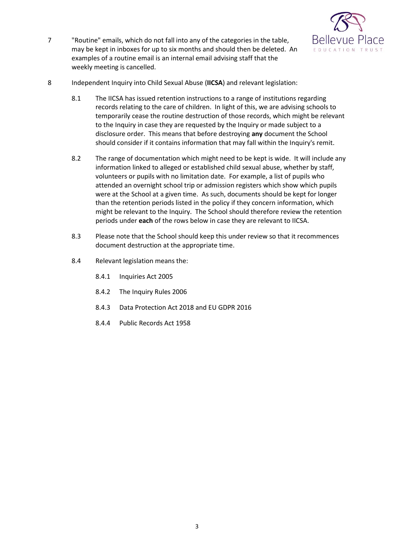

- 7 "Routine" emails, which do not fall into any of the categories in the table, may be kept in inboxes for up to six months and should then be deleted. An examples of a routine email is an internal email advising staff that the weekly meeting is cancelled.
- 8 Independent Inquiry into Child Sexual Abuse (**IICSA**) and relevant legislation:
	- 8.1 The IICSA has issued retention instructions to a range of institutions regarding records relating to the care of children. In light of this, we are advising schools to temporarily cease the routine destruction of those records, which might be relevant to the Inquiry in case they are requested by the Inquiry or made subject to a disclosure order. This means that before destroying **any** document the School should consider if it contains information that may fall within the Inquiry's remit.
	- 8.2 The range of documentation which might need to be kept is wide. It will include any information linked to alleged or established child sexual abuse, whether by staff, volunteers or pupils with no limitation date. For example, a list of pupils who attended an overnight school trip or admission registers which show which pupils were at the School at a given time. As such, documents should be kept for longer than the retention periods listed in the policy if they concern information, which might be relevant to the Inquiry. The School should therefore review the retention periods under **each** of the rows below in case they are relevant to IICSA.
	- 8.3 Please note that the School should keep this under review so that it recommences document destruction at the appropriate time.
	- 8.4 Relevant legislation means the:
		- 8.4.1 Inquiries Act 2005
		- 8.4.2 The Inquiry Rules 2006
		- 8.4.3 Data Protection Act 2018 and EU GDPR 2016
		- 8.4.4 Public Records Act 1958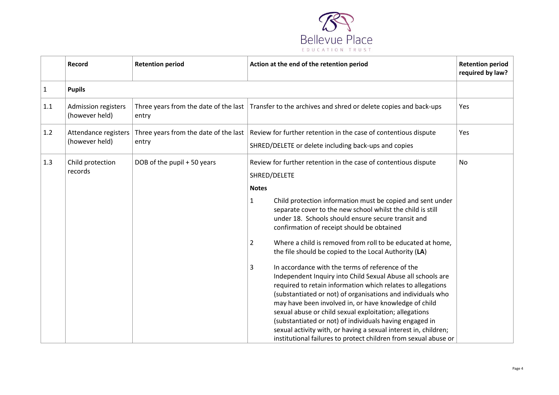

|     | Record                                       | <b>Retention period</b>     | Action at the end of the retention period                                                                                                                                                                                                                                                                                                                                                                                                                                                                                                                                                                                                                                                                                                                                                                                                                                                                                                                                                                                                               | <b>Retention period</b><br>required by law? |
|-----|----------------------------------------------|-----------------------------|---------------------------------------------------------------------------------------------------------------------------------------------------------------------------------------------------------------------------------------------------------------------------------------------------------------------------------------------------------------------------------------------------------------------------------------------------------------------------------------------------------------------------------------------------------------------------------------------------------------------------------------------------------------------------------------------------------------------------------------------------------------------------------------------------------------------------------------------------------------------------------------------------------------------------------------------------------------------------------------------------------------------------------------------------------|---------------------------------------------|
| 1   | <b>Pupils</b>                                |                             |                                                                                                                                                                                                                                                                                                                                                                                                                                                                                                                                                                                                                                                                                                                                                                                                                                                                                                                                                                                                                                                         |                                             |
| 1.1 | <b>Admission registers</b><br>(however held) | entry                       | Three years from the date of the last Transfer to the archives and shred or delete copies and back-ups                                                                                                                                                                                                                                                                                                                                                                                                                                                                                                                                                                                                                                                                                                                                                                                                                                                                                                                                                  | Yes                                         |
| 1.2 | Attendance registers<br>(however held)       | entry                       | Three years from the date of the last   Review for further retention in the case of contentious dispute<br>SHRED/DELETE or delete including back-ups and copies                                                                                                                                                                                                                                                                                                                                                                                                                                                                                                                                                                                                                                                                                                                                                                                                                                                                                         | Yes                                         |
| 1.3 | Child protection<br>records                  | DOB of the pupil + 50 years | Review for further retention in the case of contentious dispute<br>SHRED/DELETE<br><b>Notes</b><br>Child protection information must be copied and sent under<br>1<br>separate cover to the new school whilst the child is still<br>under 18. Schools should ensure secure transit and<br>confirmation of receipt should be obtained<br>Where a child is removed from roll to be educated at home,<br>$\overline{2}$<br>the file should be copied to the Local Authority (LA)<br>In accordance with the terms of reference of the<br>3<br>Independent Inquiry into Child Sexual Abuse all schools are<br>required to retain information which relates to allegations<br>(substantiated or not) of organisations and individuals who<br>may have been involved in, or have knowledge of child<br>sexual abuse or child sexual exploitation; allegations<br>(substantiated or not) of individuals having engaged in<br>sexual activity with, or having a sexual interest in, children;<br>institutional failures to protect children from sexual abuse or | No                                          |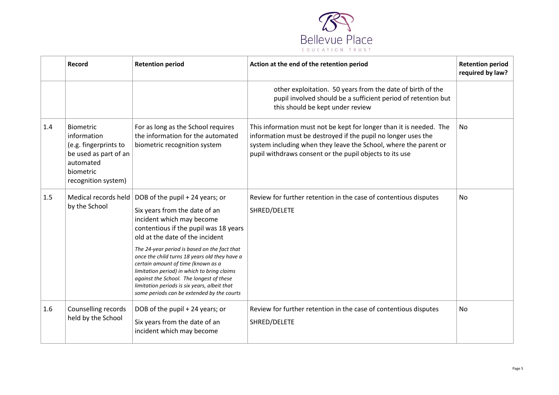

|     | Record                                                                                                                      | <b>Retention period</b>                                                                                                                                                                                                                                                                                                                                                                                                                                                                                   | Action at the end of the retention period                                                                                                                                                                                                                           | <b>Retention period</b><br>required by law? |
|-----|-----------------------------------------------------------------------------------------------------------------------------|-----------------------------------------------------------------------------------------------------------------------------------------------------------------------------------------------------------------------------------------------------------------------------------------------------------------------------------------------------------------------------------------------------------------------------------------------------------------------------------------------------------|---------------------------------------------------------------------------------------------------------------------------------------------------------------------------------------------------------------------------------------------------------------------|---------------------------------------------|
|     |                                                                                                                             |                                                                                                                                                                                                                                                                                                                                                                                                                                                                                                           | other exploitation. 50 years from the date of birth of the<br>pupil involved should be a sufficient period of retention but<br>this should be kept under review                                                                                                     |                                             |
| 1.4 | Biometric<br>information<br>(e.g. fingerprints to<br>be used as part of an<br>automated<br>biometric<br>recognition system) | For as long as the School requires<br>the information for the automated<br>biometric recognition system                                                                                                                                                                                                                                                                                                                                                                                                   | This information must not be kept for longer than it is needed. The<br>information must be destroyed if the pupil no longer uses the<br>system including when they leave the School, where the parent or<br>pupil withdraws consent or the pupil objects to its use | No                                          |
| 1.5 | Medical records held<br>by the School                                                                                       | DOB of the pupil + 24 years; or<br>Six years from the date of an<br>incident which may become<br>contentious if the pupil was 18 years<br>old at the date of the incident<br>The 24-year period is based on the fact that<br>once the child turns 18 years old they have a<br>certain amount of time (known as a<br>limitation period) in which to bring claims<br>against the School. The longest of these<br>limitation periods is six years, albeit that<br>some periods can be extended by the courts | Review for further retention in the case of contentious disputes<br>SHRED/DELETE                                                                                                                                                                                    | <b>No</b>                                   |
| 1.6 | Counselling records<br>held by the School                                                                                   | DOB of the pupil + 24 years; or<br>Six years from the date of an<br>incident which may become                                                                                                                                                                                                                                                                                                                                                                                                             | Review for further retention in the case of contentious disputes<br>SHRED/DELETE                                                                                                                                                                                    | No                                          |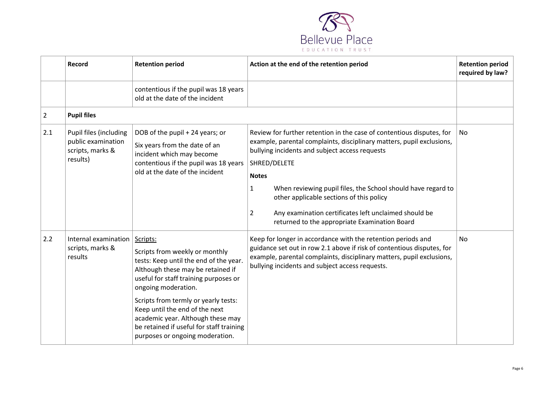

<span id="page-5-0"></span>

|                | Record                                                                       | <b>Retention period</b>                                                                                                                                                                                                                                                                                                                                                                 | Action at the end of the retention period                                                                                                                                                                                                                                                                                                                                                                                                                                   | <b>Retention period</b><br>required by law? |
|----------------|------------------------------------------------------------------------------|-----------------------------------------------------------------------------------------------------------------------------------------------------------------------------------------------------------------------------------------------------------------------------------------------------------------------------------------------------------------------------------------|-----------------------------------------------------------------------------------------------------------------------------------------------------------------------------------------------------------------------------------------------------------------------------------------------------------------------------------------------------------------------------------------------------------------------------------------------------------------------------|---------------------------------------------|
|                |                                                                              | contentious if the pupil was 18 years<br>old at the date of the incident                                                                                                                                                                                                                                                                                                                |                                                                                                                                                                                                                                                                                                                                                                                                                                                                             |                                             |
| $\overline{2}$ | <b>Pupil files</b>                                                           |                                                                                                                                                                                                                                                                                                                                                                                         |                                                                                                                                                                                                                                                                                                                                                                                                                                                                             |                                             |
| 2.1            | Pupil files (including<br>public examination<br>scripts, marks &<br>results) | DOB of the pupil + 24 years; or<br>Six years from the date of an<br>incident which may become<br>contentious if the pupil was 18 years<br>old at the date of the incident                                                                                                                                                                                                               | Review for further retention in the case of contentious disputes, for<br>example, parental complaints, disciplinary matters, pupil exclusions,<br>bullying incidents and subject access requests<br>SHRED/DELETE<br><b>Notes</b><br>$\mathbf{1}$<br>When reviewing pupil files, the School should have regard to<br>other applicable sections of this policy<br>Any examination certificates left unclaimed should be<br>2<br>returned to the appropriate Examination Board | No.                                         |
| 2.2            | Internal examination<br>scripts, marks &<br>results                          | Scripts:<br>Scripts from weekly or monthly<br>tests: Keep until the end of the year.<br>Although these may be retained if<br>useful for staff training purposes or<br>ongoing moderation.<br>Scripts from termly or yearly tests:<br>Keep until the end of the next<br>academic year. Although these may<br>be retained if useful for staff training<br>purposes or ongoing moderation. | Keep for longer in accordance with the retention periods and<br>guidance set out in row 2.1 above if risk of contentious disputes, for<br>example, parental complaints, disciplinary matters, pupil exclusions,<br>bullying incidents and subject access requests.                                                                                                                                                                                                          | <b>No</b>                                   |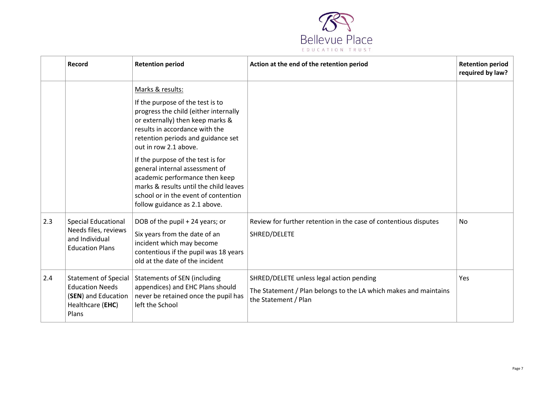

|     | Record                                                                                                    | <b>Retention period</b>                                                                                                                                                                                                                                                                                   | Action at the end of the retention period                                                                                            | <b>Retention period</b><br>required by law? |
|-----|-----------------------------------------------------------------------------------------------------------|-----------------------------------------------------------------------------------------------------------------------------------------------------------------------------------------------------------------------------------------------------------------------------------------------------------|--------------------------------------------------------------------------------------------------------------------------------------|---------------------------------------------|
|     |                                                                                                           | Marks & results:<br>If the purpose of the test is to<br>progress the child (either internally<br>or externally) then keep marks &<br>results in accordance with the<br>retention periods and guidance set<br>out in row 2.1 above.<br>If the purpose of the test is for<br>general internal assessment of |                                                                                                                                      |                                             |
|     |                                                                                                           | academic performance then keep<br>marks & results until the child leaves<br>school or in the event of contention<br>follow guidance as 2.1 above.                                                                                                                                                         |                                                                                                                                      |                                             |
| 2.3 | <b>Special Educational</b><br>Needs files, reviews<br>and Individual<br><b>Education Plans</b>            | DOB of the pupil + 24 years; or<br>Six years from the date of an<br>incident which may become<br>contentious if the pupil was 18 years<br>old at the date of the incident                                                                                                                                 | Review for further retention in the case of contentious disputes<br>SHRED/DELETE                                                     | No                                          |
| 2.4 | <b>Statement of Special</b><br><b>Education Needs</b><br>(SEN) and Education<br>Healthcare (EHC)<br>Plans | <b>Statements of SEN (including</b><br>appendices) and EHC Plans should<br>never be retained once the pupil has<br>left the School                                                                                                                                                                        | SHRED/DELETE unless legal action pending<br>The Statement / Plan belongs to the LA which makes and maintains<br>the Statement / Plan | Yes                                         |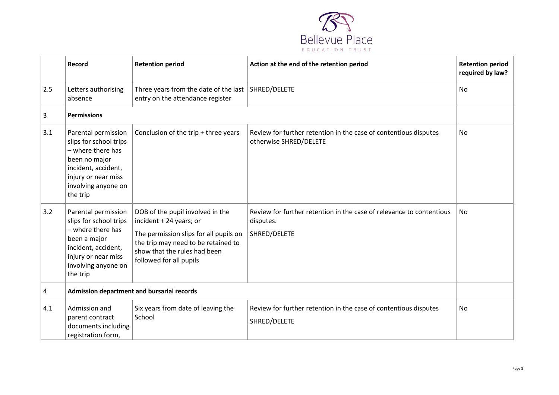

|     | Record                                                                                                                                                               | <b>Retention period</b>                                                                                                                                                                                 | Action at the end of the retention period                                                         | <b>Retention period</b><br>required by law? |
|-----|----------------------------------------------------------------------------------------------------------------------------------------------------------------------|---------------------------------------------------------------------------------------------------------------------------------------------------------------------------------------------------------|---------------------------------------------------------------------------------------------------|---------------------------------------------|
| 2.5 | Letters authorising<br>absence                                                                                                                                       | Three years from the date of the last<br>entry on the attendance register                                                                                                                               | SHRED/DELETE                                                                                      | <b>No</b>                                   |
| 3   | <b>Permissions</b>                                                                                                                                                   |                                                                                                                                                                                                         |                                                                                                   |                                             |
| 3.1 | Parental permission<br>slips for school trips<br>- where there has<br>been no major<br>incident, accident,<br>injury or near miss<br>involving anyone on<br>the trip | Conclusion of the trip + three years                                                                                                                                                                    | Review for further retention in the case of contentious disputes<br>otherwise SHRED/DELETE        | <b>No</b>                                   |
| 3.2 | Parental permission<br>slips for school trips<br>- where there has<br>been a major<br>incident, accident,<br>injury or near miss<br>involving anyone on<br>the trip  | DOB of the pupil involved in the<br>incident + 24 years; or<br>The permission slips for all pupils on<br>the trip may need to be retained to<br>show that the rules had been<br>followed for all pupils | Review for further retention in the case of relevance to contentious<br>disputes.<br>SHRED/DELETE | No                                          |
| 4   | <b>Admission department and bursarial records</b>                                                                                                                    |                                                                                                                                                                                                         |                                                                                                   |                                             |
| 4.1 | Admission and<br>parent contract<br>documents including<br>registration form,                                                                                        | Six years from date of leaving the<br>School                                                                                                                                                            | Review for further retention in the case of contentious disputes<br>SHRED/DELETE                  | No                                          |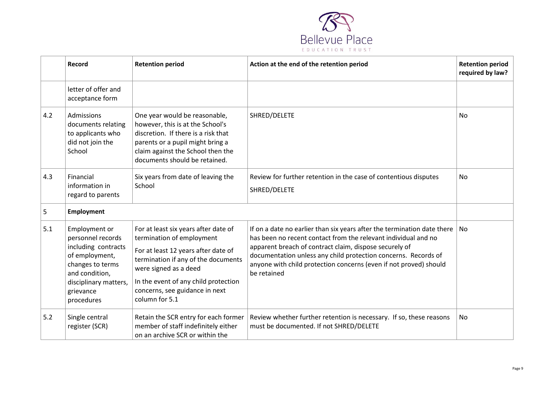

|     | Record                                                                                                                                                                | <b>Retention period</b>                                                                                                                                                                                                                                              | Action at the end of the retention period                                                                                                                                                                                                                                                                                                                        | <b>Retention period</b><br>required by law? |
|-----|-----------------------------------------------------------------------------------------------------------------------------------------------------------------------|----------------------------------------------------------------------------------------------------------------------------------------------------------------------------------------------------------------------------------------------------------------------|------------------------------------------------------------------------------------------------------------------------------------------------------------------------------------------------------------------------------------------------------------------------------------------------------------------------------------------------------------------|---------------------------------------------|
|     | letter of offer and<br>acceptance form                                                                                                                                |                                                                                                                                                                                                                                                                      |                                                                                                                                                                                                                                                                                                                                                                  |                                             |
| 4.2 | Admissions<br>documents relating<br>to applicants who<br>did not join the<br>School                                                                                   | One year would be reasonable,<br>however, this is at the School's<br>discretion. If there is a risk that<br>parents or a pupil might bring a<br>claim against the School then the<br>documents should be retained.                                                   | SHRED/DELETE                                                                                                                                                                                                                                                                                                                                                     | No                                          |
| 4.3 | Financial<br>information in<br>regard to parents                                                                                                                      | Six years from date of leaving the<br>School                                                                                                                                                                                                                         | Review for further retention in the case of contentious disputes<br>SHRED/DELETE                                                                                                                                                                                                                                                                                 | No                                          |
| 5   | <b>Employment</b>                                                                                                                                                     |                                                                                                                                                                                                                                                                      |                                                                                                                                                                                                                                                                                                                                                                  |                                             |
| 5.1 | Employment or<br>personnel records<br>including contracts<br>of employment,<br>changes to terms<br>and condition,<br>disciplinary matters,<br>grievance<br>procedures | For at least six years after date of<br>termination of employment<br>For at least 12 years after date of<br>termination if any of the documents<br>were signed as a deed<br>In the event of any child protection<br>concerns, see guidance in next<br>column for 5.1 | If on a date no earlier than six years after the termination date there $ $ No<br>has been no recent contact from the relevant individual and no<br>apparent breach of contract claim, dispose securely of<br>documentation unless any child protection concerns. Records of<br>anyone with child protection concerns (even if not proved) should<br>be retained |                                             |
| 5.2 | Single central<br>register (SCR)                                                                                                                                      | Retain the SCR entry for each former<br>member of staff indefinitely either<br>on an archive SCR or within the                                                                                                                                                       | Review whether further retention is necessary. If so, these reasons<br>must be documented. If not SHRED/DELETE                                                                                                                                                                                                                                                   | No                                          |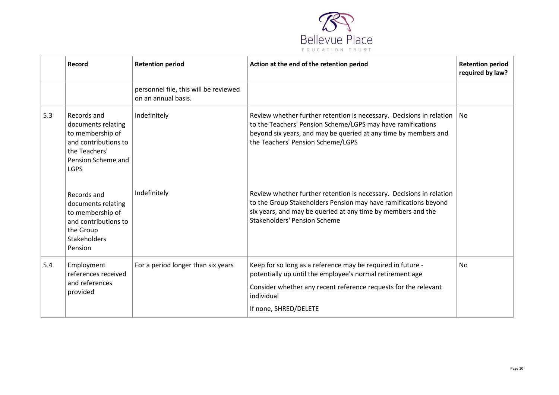

|     | Record                                                                                                                              | <b>Retention period</b>                                      | Action at the end of the retention period                                                                                                                                                                                                      | <b>Retention period</b><br>required by law? |
|-----|-------------------------------------------------------------------------------------------------------------------------------------|--------------------------------------------------------------|------------------------------------------------------------------------------------------------------------------------------------------------------------------------------------------------------------------------------------------------|---------------------------------------------|
|     |                                                                                                                                     | personnel file, this will be reviewed<br>on an annual basis. |                                                                                                                                                                                                                                                |                                             |
| 5.3 | Records and<br>documents relating<br>to membership of<br>and contributions to<br>the Teachers'<br>Pension Scheme and<br><b>LGPS</b> | Indefinitely                                                 | Review whether further retention is necessary. Decisions in relation<br>to the Teachers' Pension Scheme/LGPS may have ramifications<br>beyond six years, and may be queried at any time by members and<br>the Teachers' Pension Scheme/LGPS    | No                                          |
|     | Records and<br>documents relating<br>to membership of<br>and contributions to<br>the Group<br><b>Stakeholders</b><br>Pension        | Indefinitely                                                 | Review whether further retention is necessary. Decisions in relation<br>to the Group Stakeholders Pension may have ramifications beyond<br>six years, and may be queried at any time by members and the<br><b>Stakeholders' Pension Scheme</b> |                                             |
| 5.4 | Employment<br>references received<br>and references<br>provided                                                                     | For a period longer than six years                           | Keep for so long as a reference may be required in future -<br>potentially up until the employee's normal retirement age<br>Consider whether any recent reference requests for the relevant<br>individual<br>If none, SHRED/DELETE             | <b>No</b>                                   |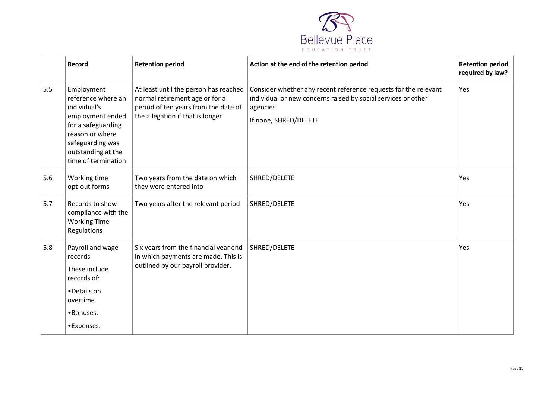

|     | <b>Record</b>                                                                                                                                                                  | <b>Retention period</b>                                                                                                                             | Action at the end of the retention period                                                                                                                             | <b>Retention period</b><br>required by law? |
|-----|--------------------------------------------------------------------------------------------------------------------------------------------------------------------------------|-----------------------------------------------------------------------------------------------------------------------------------------------------|-----------------------------------------------------------------------------------------------------------------------------------------------------------------------|---------------------------------------------|
| 5.5 | Employment<br>reference where an<br>individual's<br>employment ended<br>for a safeguarding<br>reason or where<br>safeguarding was<br>outstanding at the<br>time of termination | At least until the person has reached<br>normal retirement age or for a<br>period of ten years from the date of<br>the allegation if that is longer | Consider whether any recent reference requests for the relevant<br>individual or new concerns raised by social services or other<br>agencies<br>If none, SHRED/DELETE | Yes                                         |
| 5.6 | Working time<br>opt-out forms                                                                                                                                                  | Two years from the date on which<br>they were entered into                                                                                          | SHRED/DELETE                                                                                                                                                          | Yes                                         |
| 5.7 | Records to show<br>compliance with the<br><b>Working Time</b><br>Regulations                                                                                                   | Two years after the relevant period                                                                                                                 | SHRED/DELETE                                                                                                                                                          | Yes                                         |
| 5.8 | Payroll and wage<br>records<br>These include<br>records of:<br>•Details on<br>overtime.<br>•Bonuses.<br>•Expenses.                                                             | Six years from the financial year end<br>in which payments are made. This is<br>outlined by our payroll provider.                                   | SHRED/DELETE                                                                                                                                                          | Yes                                         |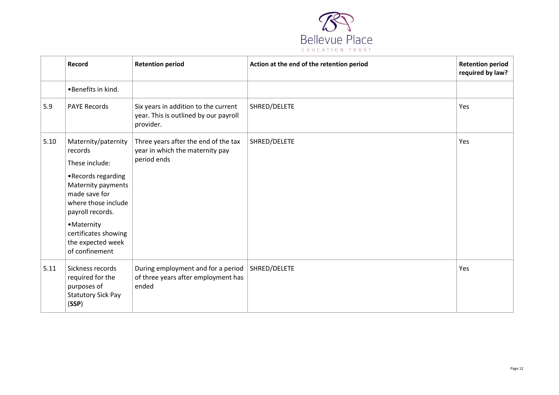

|      | Record                                                                                                                                                                                                                                 | <b>Retention period</b>                                                                    | Action at the end of the retention period | <b>Retention period</b><br>required by law? |
|------|----------------------------------------------------------------------------------------------------------------------------------------------------------------------------------------------------------------------------------------|--------------------------------------------------------------------------------------------|-------------------------------------------|---------------------------------------------|
|      | •Benefits in kind.                                                                                                                                                                                                                     |                                                                                            |                                           |                                             |
| 5.9  | <b>PAYE Records</b>                                                                                                                                                                                                                    | Six years in addition to the current<br>year. This is outlined by our payroll<br>provider. | SHRED/DELETE                              | Yes                                         |
| 5.10 | Maternity/paternity<br>records<br>These include:<br>•Records regarding<br>Maternity payments<br>made save for<br>where those include<br>payroll records.<br>• Maternity<br>certificates showing<br>the expected week<br>of confinement | Three years after the end of the tax<br>year in which the maternity pay<br>period ends     | SHRED/DELETE                              | Yes                                         |
| 5.11 | Sickness records<br>required for the<br>purposes of<br><b>Statutory Sick Pay</b><br>(SSP)                                                                                                                                              | During employment and for a period<br>of three years after employment has<br>ended         | SHRED/DELETE                              | Yes                                         |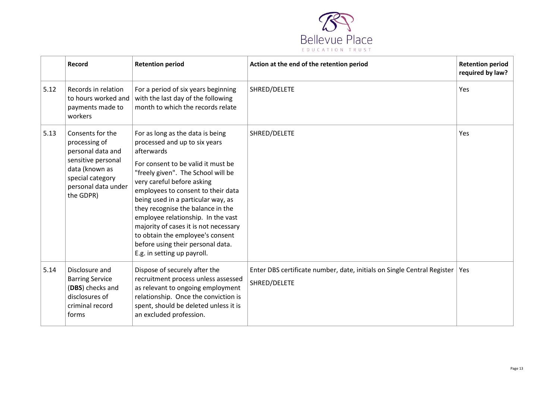

|      | Record                                                                                                                                                 | <b>Retention period</b>                                                                                                                                                                                                                                                                                                                                                                                                                                                                           | Action at the end of the retention period                                               | <b>Retention period</b><br>required by law? |
|------|--------------------------------------------------------------------------------------------------------------------------------------------------------|---------------------------------------------------------------------------------------------------------------------------------------------------------------------------------------------------------------------------------------------------------------------------------------------------------------------------------------------------------------------------------------------------------------------------------------------------------------------------------------------------|-----------------------------------------------------------------------------------------|---------------------------------------------|
| 5.12 | Records in relation<br>to hours worked and<br>payments made to<br>workers                                                                              | For a period of six years beginning<br>with the last day of the following<br>month to which the records relate                                                                                                                                                                                                                                                                                                                                                                                    | SHRED/DELETE                                                                            | Yes                                         |
| 5.13 | Consents for the<br>processing of<br>personal data and<br>sensitive personal<br>data (known as<br>special category<br>personal data under<br>the GDPR) | For as long as the data is being<br>processed and up to six years<br>afterwards<br>For consent to be valid it must be<br>"freely given". The School will be<br>very careful before asking<br>employees to consent to their data<br>being used in a particular way, as<br>they recognise the balance in the<br>employee relationship. In the vast<br>majority of cases it is not necessary<br>to obtain the employee's consent<br>before using their personal data.<br>E.g. in setting up payroll. | SHRED/DELETE                                                                            | Yes                                         |
| 5.14 | Disclosure and<br><b>Barring Service</b><br>(DBS) checks and<br>disclosures of<br>criminal record<br>forms                                             | Dispose of securely after the<br>recruitment process unless assessed<br>as relevant to ongoing employment<br>relationship. Once the conviction is<br>spent, should be deleted unless it is<br>an excluded profession.                                                                                                                                                                                                                                                                             | Enter DBS certificate number, date, initials on Single Central Register<br>SHRED/DELETE | Yes                                         |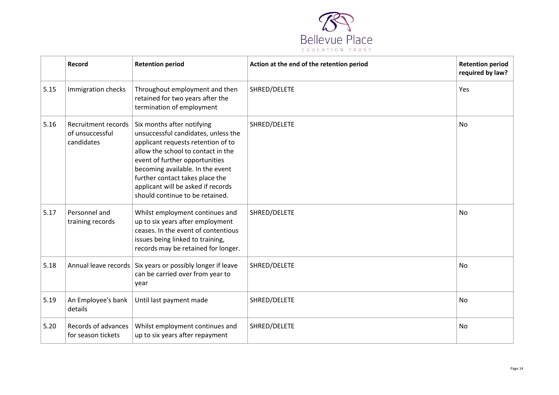

|      | Record                                               | <b>Retention period</b>                                                                                                                                                                                                                                                                                                         | Action at the end of the retention period | <b>Retention period</b><br>required by law? |
|------|------------------------------------------------------|---------------------------------------------------------------------------------------------------------------------------------------------------------------------------------------------------------------------------------------------------------------------------------------------------------------------------------|-------------------------------------------|---------------------------------------------|
| 5.15 | Immigration checks                                   | Throughout employment and then<br>retained for two years after the<br>termination of employment                                                                                                                                                                                                                                 | SHRED/DELETE                              | Yes                                         |
| 5.16 | Recruitment records<br>of unsuccessful<br>candidates | Six months after notifying<br>unsuccessful candidates, unless the<br>applicant requests retention of to<br>allow the school to contact in the<br>event of further opportunities<br>becoming available. In the event<br>further contact takes place the<br>applicant will be asked if records<br>should continue to be retained. | SHRED/DELETE                              | <b>No</b>                                   |
| 5.17 | Personnel and<br>training records                    | Whilst employment continues and<br>up to six years after employment<br>ceases. In the event of contentious<br>issues being linked to training,<br>records may be retained for longer.                                                                                                                                           | SHRED/DELETE                              | No                                          |
| 5.18 |                                                      | Annual leave records   Six years or possibly longer if leave<br>can be carried over from year to<br>year                                                                                                                                                                                                                        | SHRED/DELETE                              | No                                          |
| 5.19 | An Employee's bank<br>details                        | Until last payment made                                                                                                                                                                                                                                                                                                         | SHRED/DELETE                              | No                                          |
| 5.20 | Records of advances<br>for season tickets            | Whilst employment continues and<br>up to six years after repayment                                                                                                                                                                                                                                                              | SHRED/DELETE                              | <b>No</b>                                   |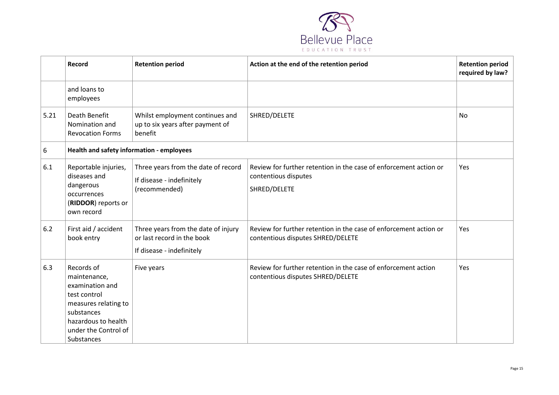

<span id="page-14-0"></span>

|      | Record                                                                                                                                                           | <b>Retention period</b>                                                                        | Action at the end of the retention period                                                                 | <b>Retention period</b><br>required by law? |
|------|------------------------------------------------------------------------------------------------------------------------------------------------------------------|------------------------------------------------------------------------------------------------|-----------------------------------------------------------------------------------------------------------|---------------------------------------------|
|      | and loans to<br>employees                                                                                                                                        |                                                                                                |                                                                                                           |                                             |
| 5.21 | Death Benefit<br>Nomination and<br><b>Revocation Forms</b>                                                                                                       | Whilst employment continues and<br>up to six years after payment of<br>benefit                 | SHRED/DELETE                                                                                              | No                                          |
| 6    | Health and safety information - employees                                                                                                                        |                                                                                                |                                                                                                           |                                             |
| 6.1  | Reportable injuries,<br>diseases and<br>dangerous<br>occurrences<br>(RIDDOR) reports or<br>own record                                                            | Three years from the date of record<br>If disease - indefinitely<br>(recommended)              | Review for further retention in the case of enforcement action or<br>contentious disputes<br>SHRED/DELETE | Yes                                         |
| 6.2  | First aid / accident<br>book entry                                                                                                                               | Three years from the date of injury<br>or last record in the book<br>If disease - indefinitely | Review for further retention in the case of enforcement action or<br>contentious disputes SHRED/DELETE    | Yes                                         |
| 6.3  | Records of<br>maintenance,<br>examination and<br>test control<br>measures relating to<br>substances<br>hazardous to health<br>under the Control of<br>Substances | Five years                                                                                     | Review for further retention in the case of enforcement action<br>contentious disputes SHRED/DELETE       | Yes                                         |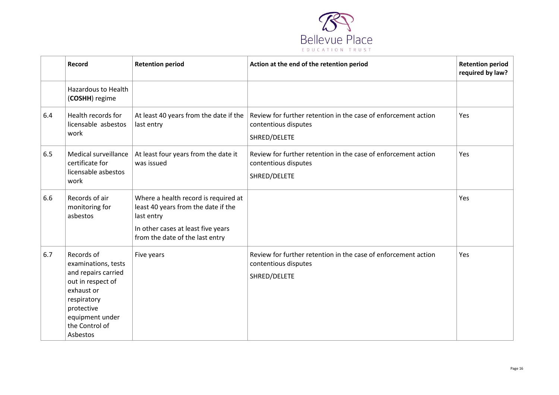

|     | Record                                                                                                                                                                    | <b>Retention period</b>                                                                                                                                            | Action at the end of the retention period                                                              | <b>Retention period</b><br>required by law? |
|-----|---------------------------------------------------------------------------------------------------------------------------------------------------------------------------|--------------------------------------------------------------------------------------------------------------------------------------------------------------------|--------------------------------------------------------------------------------------------------------|---------------------------------------------|
|     | <b>Hazardous to Health</b><br>(COSHH) regime                                                                                                                              |                                                                                                                                                                    |                                                                                                        |                                             |
| 6.4 | Health records for<br>licensable asbestos<br>work                                                                                                                         | At least 40 years from the date if the<br>last entry                                                                                                               | Review for further retention in the case of enforcement action<br>contentious disputes<br>SHRED/DELETE | Yes                                         |
| 6.5 | Medical surveillance<br>certificate for<br>licensable asbestos<br>work                                                                                                    | At least four years from the date it<br>was issued                                                                                                                 | Review for further retention in the case of enforcement action<br>contentious disputes<br>SHRED/DELETE | Yes                                         |
| 6.6 | Records of air<br>monitoring for<br>asbestos                                                                                                                              | Where a health record is required at<br>least 40 years from the date if the<br>last entry<br>In other cases at least five years<br>from the date of the last entry |                                                                                                        | Yes                                         |
| 6.7 | Records of<br>examinations, tests<br>and repairs carried<br>out in respect of<br>exhaust or<br>respiratory<br>protective<br>equipment under<br>the Control of<br>Asbestos | Five years                                                                                                                                                         | Review for further retention in the case of enforcement action<br>contentious disputes<br>SHRED/DELETE | Yes                                         |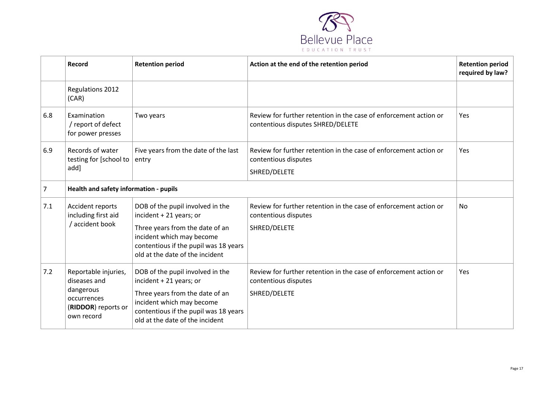

|                | Record                                                                                                | <b>Retention period</b>                                                                                                                                                                                 | Action at the end of the retention period                                                                 | <b>Retention period</b><br>required by law? |
|----------------|-------------------------------------------------------------------------------------------------------|---------------------------------------------------------------------------------------------------------------------------------------------------------------------------------------------------------|-----------------------------------------------------------------------------------------------------------|---------------------------------------------|
|                | Regulations 2012<br>(CAR)                                                                             |                                                                                                                                                                                                         |                                                                                                           |                                             |
| 6.8            | Examination<br>/ report of defect<br>for power presses                                                | Two years                                                                                                                                                                                               | Review for further retention in the case of enforcement action or<br>contentious disputes SHRED/DELETE    | Yes                                         |
| 6.9            | Records of water<br>testing for [school to<br>add]                                                    | Five years from the date of the last<br>entry                                                                                                                                                           | Review for further retention in the case of enforcement action or<br>contentious disputes<br>SHRED/DELETE | Yes                                         |
| $\overline{7}$ | Health and safety information - pupils                                                                |                                                                                                                                                                                                         |                                                                                                           |                                             |
| 7.1            | Accident reports<br>including first aid<br>/ accident book                                            | DOB of the pupil involved in the<br>incident + 21 years; or<br>Three years from the date of an<br>incident which may become<br>contentious if the pupil was 18 years<br>old at the date of the incident | Review for further retention in the case of enforcement action or<br>contentious disputes<br>SHRED/DELETE | No                                          |
| 7.2            | Reportable injuries,<br>diseases and<br>dangerous<br>occurrences<br>(RIDDOR) reports or<br>own record | DOB of the pupil involved in the<br>incident + 21 years; or<br>Three years from the date of an<br>incident which may become<br>contentious if the pupil was 18 years<br>old at the date of the incident | Review for further retention in the case of enforcement action or<br>contentious disputes<br>SHRED/DELETE | Yes                                         |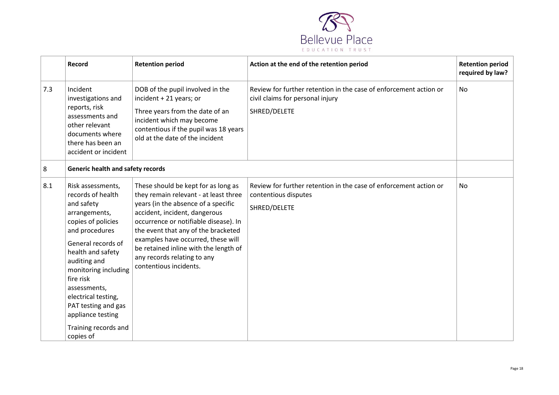

|     | Record                                                                                                                                                                                                                                                                                                                                | <b>Retention period</b>                                                                                                                                                                                                                                                                                                                                                      | Action at the end of the retention period                                                                             | <b>Retention period</b><br>required by law? |
|-----|---------------------------------------------------------------------------------------------------------------------------------------------------------------------------------------------------------------------------------------------------------------------------------------------------------------------------------------|------------------------------------------------------------------------------------------------------------------------------------------------------------------------------------------------------------------------------------------------------------------------------------------------------------------------------------------------------------------------------|-----------------------------------------------------------------------------------------------------------------------|---------------------------------------------|
| 7.3 | Incident<br>investigations and<br>reports, risk<br>assessments and<br>other relevant<br>documents where<br>there has been an<br>accident or incident                                                                                                                                                                                  | DOB of the pupil involved in the<br>incident + 21 years; or<br>Three years from the date of an<br>incident which may become<br>contentious if the pupil was 18 years<br>old at the date of the incident                                                                                                                                                                      | Review for further retention in the case of enforcement action or<br>civil claims for personal injury<br>SHRED/DELETE | <b>No</b>                                   |
| 8   | <b>Generic health and safety records</b>                                                                                                                                                                                                                                                                                              |                                                                                                                                                                                                                                                                                                                                                                              |                                                                                                                       |                                             |
| 8.1 | Risk assessments,<br>records of health<br>and safety<br>arrangements,<br>copies of policies<br>and procedures<br>General records of<br>health and safety<br>auditing and<br>monitoring including<br>fire risk<br>assessments,<br>electrical testing,<br>PAT testing and gas<br>appliance testing<br>Training records and<br>copies of | These should be kept for as long as<br>they remain relevant - at least three<br>years (in the absence of a specific<br>accident, incident, dangerous<br>occurrence or notifiable disease). In<br>the event that any of the bracketed<br>examples have occurred, these will<br>be retained inline with the length of<br>any records relating to any<br>contentious incidents. | Review for further retention in the case of enforcement action or<br>contentious disputes<br>SHRED/DELETE             | <b>No</b>                                   |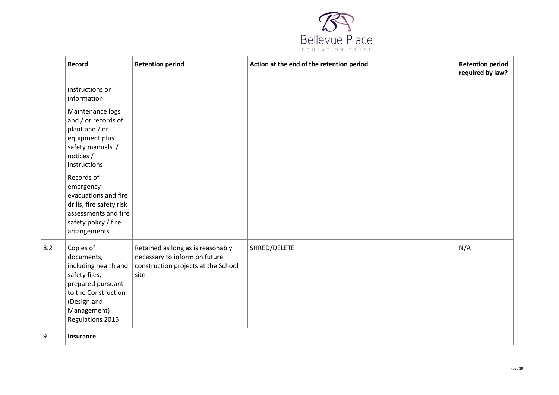

|     | Record                                                                                                                                                                                                                                                                                                        | <b>Retention period</b>                                                                                           | Action at the end of the retention period | <b>Retention period</b><br>required by law? |
|-----|---------------------------------------------------------------------------------------------------------------------------------------------------------------------------------------------------------------------------------------------------------------------------------------------------------------|-------------------------------------------------------------------------------------------------------------------|-------------------------------------------|---------------------------------------------|
|     | instructions or<br>information<br>Maintenance logs<br>and / or records of<br>plant and / or<br>equipment plus<br>safety manuals /<br>notices /<br>instructions<br>Records of<br>emergency<br>evacuations and fire<br>drills, fire safety risk<br>assessments and fire<br>safety policy / fire<br>arrangements |                                                                                                                   |                                           |                                             |
| 8.2 | Copies of<br>documents,<br>including health and<br>safety files,<br>prepared pursuant<br>to the Construction<br>(Design and<br>Management)<br>Regulations 2015                                                                                                                                                | Retained as long as is reasonably<br>necessary to inform on future<br>construction projects at the School<br>site | SHRED/DELETE                              | N/A                                         |
| 9   | Insurance                                                                                                                                                                                                                                                                                                     |                                                                                                                   |                                           |                                             |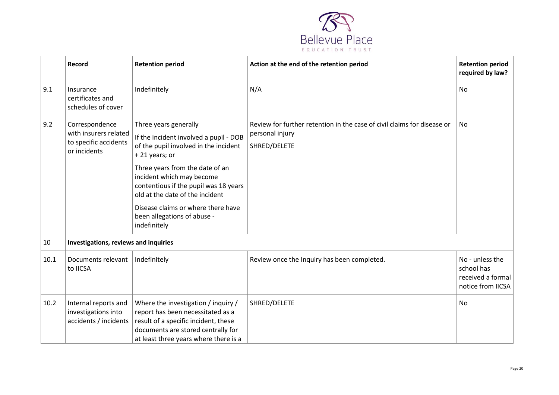

|      | Record                                                                           | <b>Retention period</b>                                                                                                                                                                                                                                                                                                                                    | Action at the end of the retention period                                                                  | <b>Retention period</b><br>required by law?                             |
|------|----------------------------------------------------------------------------------|------------------------------------------------------------------------------------------------------------------------------------------------------------------------------------------------------------------------------------------------------------------------------------------------------------------------------------------------------------|------------------------------------------------------------------------------------------------------------|-------------------------------------------------------------------------|
| 9.1  | Insurance<br>certificates and<br>schedules of cover                              | Indefinitely                                                                                                                                                                                                                                                                                                                                               | N/A                                                                                                        | <b>No</b>                                                               |
| 9.2  | Correspondence<br>with insurers related<br>to specific accidents<br>or incidents | Three years generally<br>If the incident involved a pupil - DOB<br>of the pupil involved in the incident<br>+21 years; or<br>Three years from the date of an<br>incident which may become<br>contentious if the pupil was 18 years<br>old at the date of the incident<br>Disease claims or where there have<br>been allegations of abuse -<br>indefinitely | Review for further retention in the case of civil claims for disease or<br>personal injury<br>SHRED/DELETE | No                                                                      |
| 10   | Investigations, reviews and inquiries                                            |                                                                                                                                                                                                                                                                                                                                                            |                                                                                                            |                                                                         |
| 10.1 | Documents relevant<br>to IICSA                                                   | Indefinitely                                                                                                                                                                                                                                                                                                                                               | Review once the Inquiry has been completed.                                                                | No - unless the<br>school has<br>received a formal<br>notice from IICSA |
| 10.2 | Internal reports and<br>investigations into<br>accidents / incidents             | Where the investigation / inquiry /<br>report has been necessitated as a<br>result of a specific incident, these<br>documents are stored centrally for<br>at least three years where there is a                                                                                                                                                            | SHRED/DELETE                                                                                               | No                                                                      |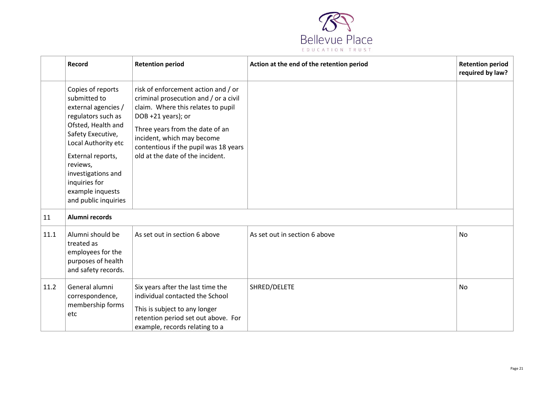

|      | Record                                                                                                                                                                                                                                                               | <b>Retention period</b>                                                                                                                                                                                                                                                                | Action at the end of the retention period | <b>Retention period</b><br>required by law? |
|------|----------------------------------------------------------------------------------------------------------------------------------------------------------------------------------------------------------------------------------------------------------------------|----------------------------------------------------------------------------------------------------------------------------------------------------------------------------------------------------------------------------------------------------------------------------------------|-------------------------------------------|---------------------------------------------|
|      | Copies of reports<br>submitted to<br>external agencies /<br>regulators such as<br>Ofsted, Health and<br>Safety Executive,<br>Local Authority etc<br>External reports,<br>reviews,<br>investigations and<br>inquiries for<br>example inquests<br>and public inquiries | risk of enforcement action and / or<br>criminal prosecution and / or a civil<br>claim. Where this relates to pupil<br>DOB +21 years); or<br>Three years from the date of an<br>incident, which may become<br>contentious if the pupil was 18 years<br>old at the date of the incident. |                                           |                                             |
| 11   | Alumni records                                                                                                                                                                                                                                                       |                                                                                                                                                                                                                                                                                        |                                           |                                             |
| 11.1 | Alumni should be<br>treated as<br>employees for the<br>purposes of health<br>and safety records.                                                                                                                                                                     | As set out in section 6 above                                                                                                                                                                                                                                                          | As set out in section 6 above             | <b>No</b>                                   |
| 11.2 | General alumni<br>correspondence,<br>membership forms<br>etc                                                                                                                                                                                                         | Six years after the last time the<br>individual contacted the School<br>This is subject to any longer<br>retention period set out above. For<br>example, records relating to a                                                                                                         | SHRED/DELETE                              | No                                          |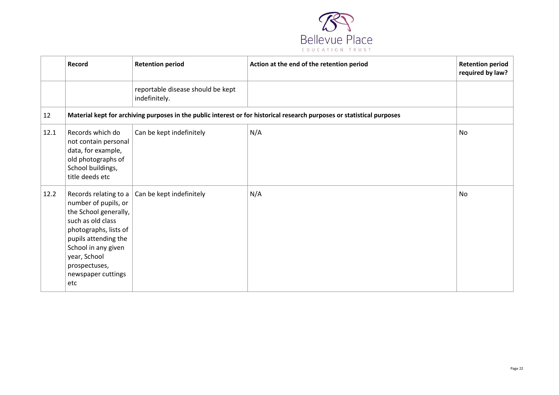

|      | Record                                                                                                                                                                                                                            | <b>Retention period</b>                            | Action at the end of the retention period                                                                               | <b>Retention period</b><br>required by law? |
|------|-----------------------------------------------------------------------------------------------------------------------------------------------------------------------------------------------------------------------------------|----------------------------------------------------|-------------------------------------------------------------------------------------------------------------------------|---------------------------------------------|
|      |                                                                                                                                                                                                                                   | reportable disease should be kept<br>indefinitely. |                                                                                                                         |                                             |
| 12   |                                                                                                                                                                                                                                   |                                                    | Material kept for archiving purposes in the public interest or for historical research purposes or statistical purposes |                                             |
| 12.1 | Records which do<br>not contain personal<br>data, for example,<br>old photographs of<br>School buildings,<br>title deeds etc                                                                                                      | Can be kept indefinitely                           | N/A                                                                                                                     | <b>No</b>                                   |
| 12.2 | Records relating to a<br>number of pupils, or<br>the School generally,<br>such as old class<br>photographs, lists of<br>pupils attending the<br>School in any given<br>year, School<br>prospectuses,<br>newspaper cuttings<br>etc | Can be kept indefinitely                           | N/A                                                                                                                     | No                                          |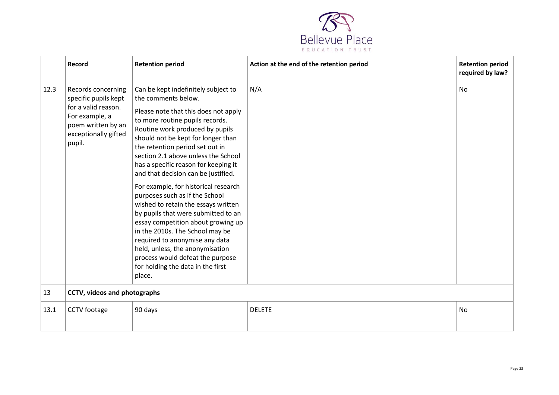

<span id="page-22-0"></span>

|      | Record                                                                                                                                      | <b>Retention period</b>                                                                                                                                                                                                                                                                                                                                                                                                                                                                                                                                                                                                                                                                                                                                          | Action at the end of the retention period | <b>Retention period</b><br>required by law? |
|------|---------------------------------------------------------------------------------------------------------------------------------------------|------------------------------------------------------------------------------------------------------------------------------------------------------------------------------------------------------------------------------------------------------------------------------------------------------------------------------------------------------------------------------------------------------------------------------------------------------------------------------------------------------------------------------------------------------------------------------------------------------------------------------------------------------------------------------------------------------------------------------------------------------------------|-------------------------------------------|---------------------------------------------|
| 12.3 | Records concerning<br>specific pupils kept<br>for a valid reason.<br>For example, a<br>poem written by an<br>exceptionally gifted<br>pupil. | Can be kept indefinitely subject to<br>the comments below.<br>Please note that this does not apply<br>to more routine pupils records.<br>Routine work produced by pupils<br>should not be kept for longer than<br>the retention period set out in<br>section 2.1 above unless the School<br>has a specific reason for keeping it<br>and that decision can be justified.<br>For example, for historical research<br>purposes such as if the School<br>wished to retain the essays written<br>by pupils that were submitted to an<br>essay competition about growing up<br>in the 2010s. The School may be<br>required to anonymise any data<br>held, unless, the anonymisation<br>process would defeat the purpose<br>for holding the data in the first<br>place. | N/A                                       | <b>No</b>                                   |
| 13   | CCTV, videos and photographs                                                                                                                |                                                                                                                                                                                                                                                                                                                                                                                                                                                                                                                                                                                                                                                                                                                                                                  |                                           |                                             |
| 13.1 | CCTV footage                                                                                                                                | 90 days                                                                                                                                                                                                                                                                                                                                                                                                                                                                                                                                                                                                                                                                                                                                                          | <b>DELETE</b>                             | <b>No</b>                                   |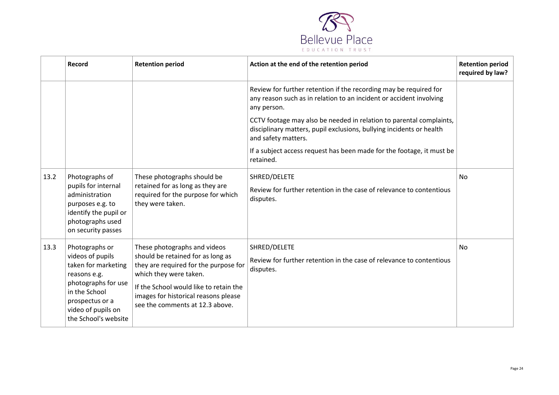

|      | Record                                                                                                                                                                             | <b>Retention period</b>                                                                                                                                                                                                                                   | Action at the end of the retention period                                                                                                                                                                                                                                                              | <b>Retention period</b><br>required by law? |
|------|------------------------------------------------------------------------------------------------------------------------------------------------------------------------------------|-----------------------------------------------------------------------------------------------------------------------------------------------------------------------------------------------------------------------------------------------------------|--------------------------------------------------------------------------------------------------------------------------------------------------------------------------------------------------------------------------------------------------------------------------------------------------------|---------------------------------------------|
|      |                                                                                                                                                                                    |                                                                                                                                                                                                                                                           | Review for further retention if the recording may be required for<br>any reason such as in relation to an incident or accident involving<br>any person.<br>CCTV footage may also be needed in relation to parental complaints,<br>disciplinary matters, pupil exclusions, bullying incidents or health |                                             |
|      |                                                                                                                                                                                    |                                                                                                                                                                                                                                                           | and safety matters.<br>If a subject access request has been made for the footage, it must be<br>retained.                                                                                                                                                                                              |                                             |
| 13.2 | Photographs of<br>pupils for internal<br>administration<br>purposes e.g. to<br>identify the pupil or<br>photographs used<br>on security passes                                     | These photographs should be<br>retained for as long as they are<br>required for the purpose for which<br>they were taken.                                                                                                                                 | SHRED/DELETE<br>Review for further retention in the case of relevance to contentious<br>disputes.                                                                                                                                                                                                      | No                                          |
| 13.3 | Photographs or<br>videos of pupils<br>taken for marketing<br>reasons e.g.<br>photographs for use<br>in the School<br>prospectus or a<br>video of pupils on<br>the School's website | These photographs and videos<br>should be retained for as long as<br>they are required for the purpose for<br>which they were taken.<br>If the School would like to retain the<br>images for historical reasons please<br>see the comments at 12.3 above. | SHRED/DELETE<br>Review for further retention in the case of relevance to contentious<br>disputes.                                                                                                                                                                                                      | No                                          |